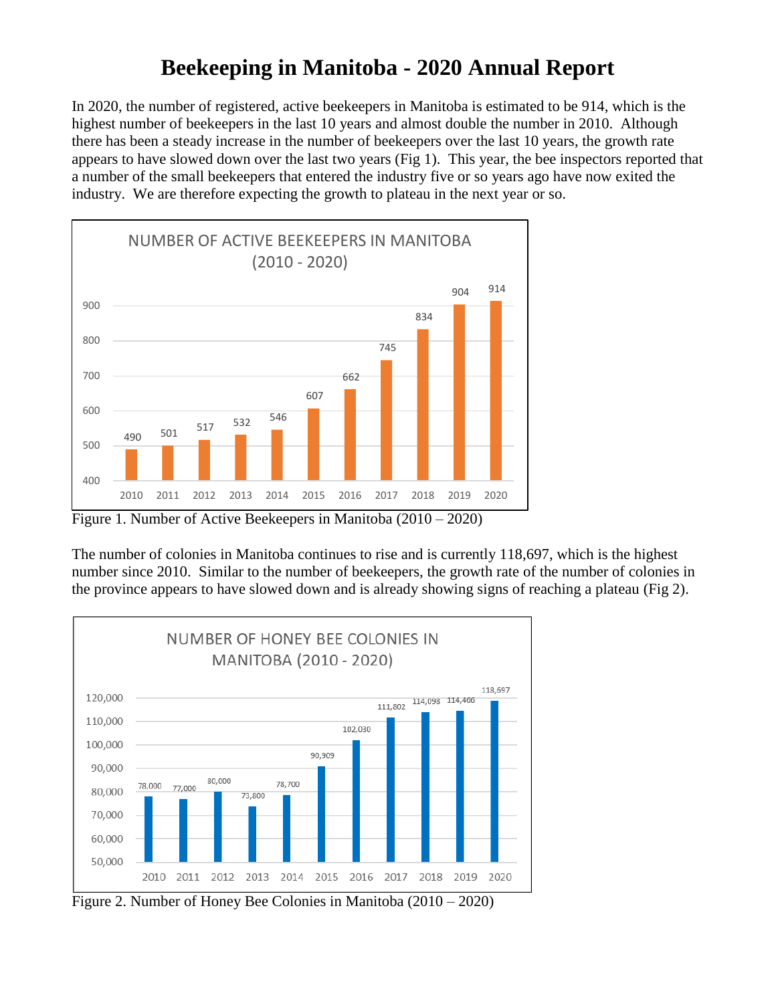## **Beekeeping in Manitoba - 2020 Annual Report**

In 2020, the number of registered, active beekeepers in Manitoba is estimated to be 914, which is the highest number of beekeepers in the last 10 years and almost double the number in 2010. Although there has been a steady increase in the number of beekeepers over the last 10 years, the growth rate appears to have slowed down over the last two years (Fig 1). This year, the bee inspectors reported that a number of the small beekeepers that entered the industry five or so years ago have now exited the industry. We are therefore expecting the growth to plateau in the next year or so.



Figure 1. Number of Active Beekeepers in Manitoba (2010 – 2020)

The number of colonies in Manitoba continues to rise and is currently 118,697, which is the highest number since 2010. Similar to the number of beekeepers, the growth rate of the number of colonies in the province appears to have slowed down and is already showing signs of reaching a plateau (Fig 2).



Figure 2. Number of Honey Bee Colonies in Manitoba (2010 – 2020)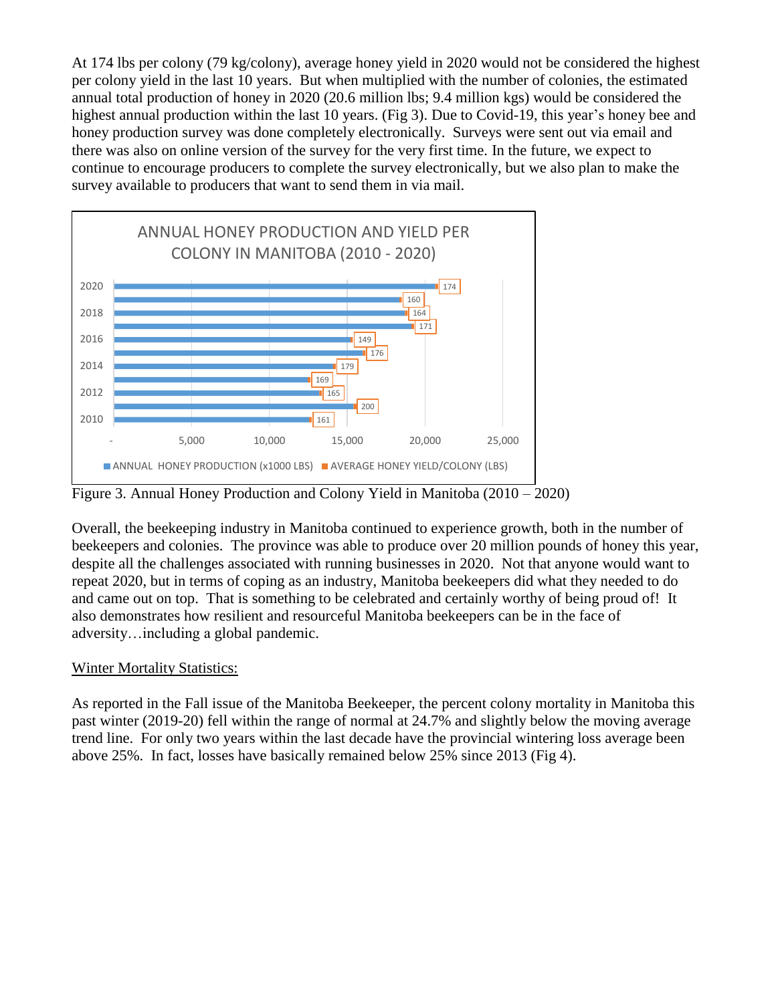At 174 lbs per colony (79 kg/colony), average honey yield in 2020 would not be considered the highest per colony yield in the last 10 years. But when multiplied with the number of colonies, the estimated annual total production of honey in 2020 (20.6 million lbs; 9.4 million kgs) would be considered the highest annual production within the last 10 years. (Fig 3). Due to Covid-19, this year's honey bee and honey production survey was done completely electronically. Surveys were sent out via email and there was also on online version of the survey for the very first time. In the future, we expect to continue to encourage producers to complete the survey electronically, but we also plan to make the survey available to producers that want to send them in via mail.



Figure 3. Annual Honey Production and Colony Yield in Manitoba (2010 – 2020)

Overall, the beekeeping industry in Manitoba continued to experience growth, both in the number of beekeepers and colonies. The province was able to produce over 20 million pounds of honey this year, despite all the challenges associated with running businesses in 2020. Not that anyone would want to repeat 2020, but in terms of coping as an industry, Manitoba beekeepers did what they needed to do and came out on top. That is something to be celebrated and certainly worthy of being proud of! It also demonstrates how resilient and resourceful Manitoba beekeepers can be in the face of adversity…including a global pandemic.

## Winter Mortality Statistics:

As reported in the Fall issue of the Manitoba Beekeeper, the percent colony mortality in Manitoba this past winter (2019-20) fell within the range of normal at 24.7% and slightly below the moving average trend line. For only two years within the last decade have the provincial wintering loss average been above 25%. In fact, losses have basically remained below 25% since 2013 (Fig 4).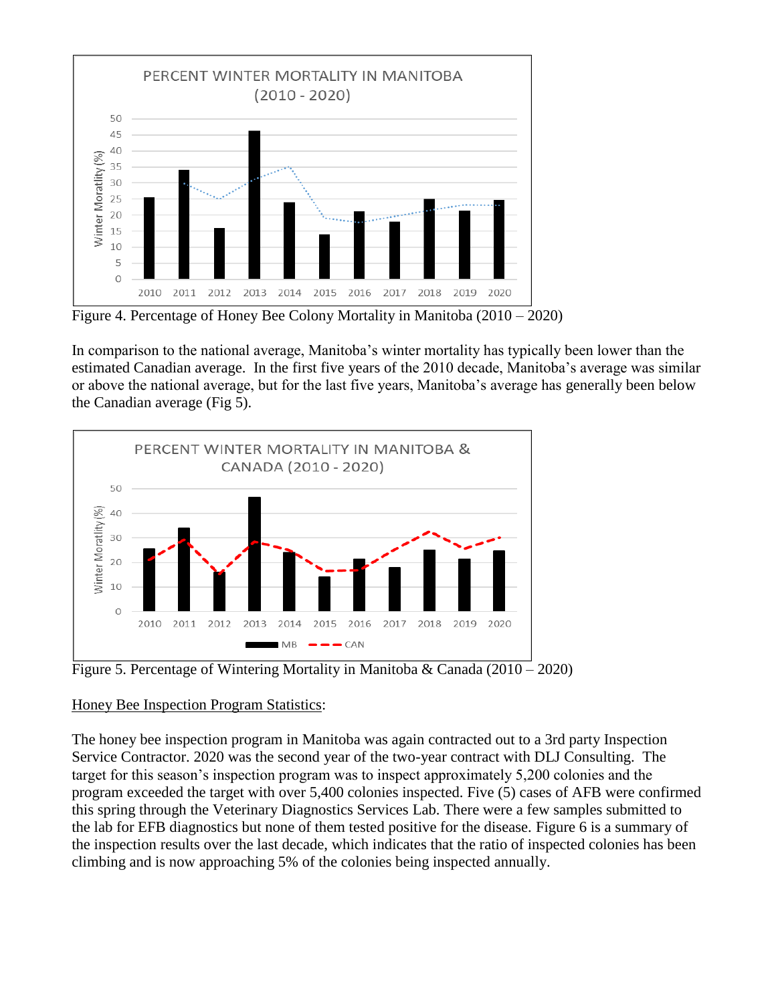

Figure 4. Percentage of Honey Bee Colony Mortality in Manitoba (2010 – 2020)

In comparison to the national average, Manitoba's winter mortality has typically been lower than the estimated Canadian average. In the first five years of the 2010 decade, Manitoba's average was similar or above the national average, but for the last five years, Manitoba's average has generally been below the Canadian average (Fig 5).



Figure 5. Percentage of Wintering Mortality in Manitoba & Canada  $(2010 - 2020)$ 

## Honey Bee Inspection Program Statistics:

The honey bee inspection program in Manitoba was again contracted out to a 3rd party Inspection Service Contractor. 2020 was the second year of the two-year contract with DLJ Consulting. The target for this season's inspection program was to inspect approximately 5,200 colonies and the program exceeded the target with over 5,400 colonies inspected. Five (5) cases of AFB were confirmed this spring through the Veterinary Diagnostics Services Lab. There were a few samples submitted to the lab for EFB diagnostics but none of them tested positive for the disease. Figure 6 is a summary of the inspection results over the last decade, which indicates that the ratio of inspected colonies has been climbing and is now approaching 5% of the colonies being inspected annually.